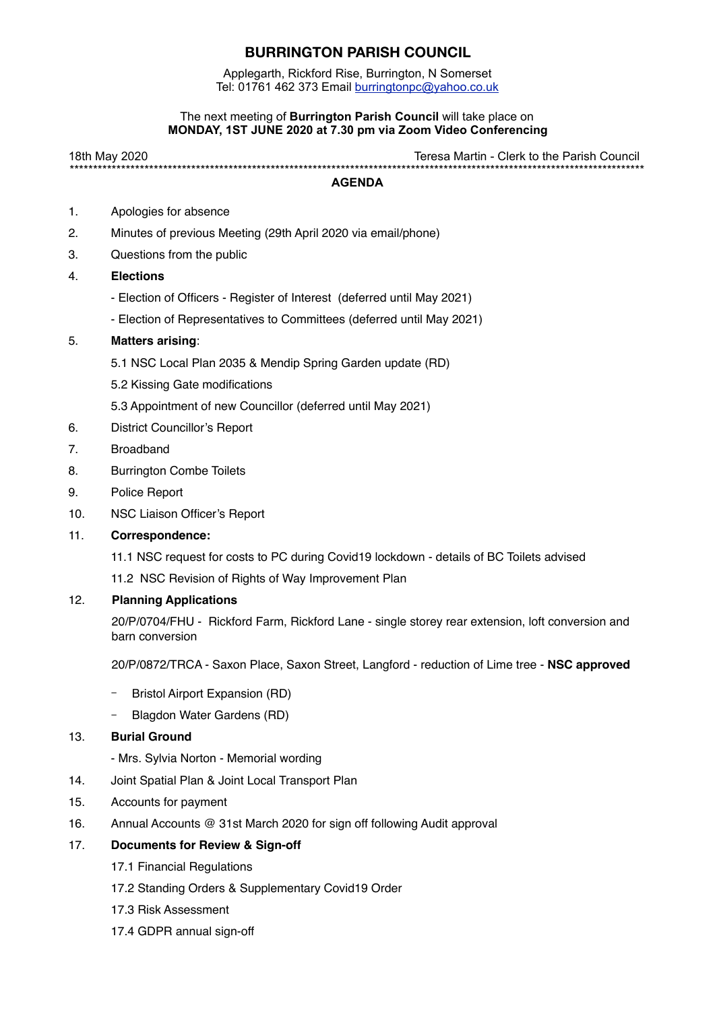### **BURRINGTON PARISH COUNCIL**

Applegarth, Rickford Rise, Burrington, N Somerset Tel: 01761 462 373 Email [burringtonpc@yahoo.co.uk](mailto:burringtonpc@yahoo.co.uk)

#### The next meeting of **Burrington Parish Council** will take place on **MONDAY, 1ST JUNE 2020 at 7.30 pm via Zoom Video Conferencing**

18th May 2020 Teresa Martin - Clerk to the Parish Council \*\*\*\*\*\*\*\*\*\*\*\*\*\*\*\*\*\*\*\*\*\*\*\*\*\*\*\*\*\*\*\*\*\*\*\*\*\*\*\*\*\*\*\*\*\*\*\*\*\*\*\*\*\*\*\*\*\*\*\*\*\*\*\*\*\*\*\*\*\*\*\*\*\*\*\*\*\*\*\*\*\*\*\*\*\*\*\*\*\*\*\*\*\*\*\*\*\*\*\*\*\*\*\*\*\*\*\*\*\*\*\*\*\*\*\*\*\*\*\*\*\*\*

#### **AGENDA**

- 1. Apologies for absence
- 2. Minutes of previous Meeting (29th April 2020 via email/phone)
- 3. Questions from the public
- 4. **Elections**
	- Election of Officers Register of Interest (deferred until May 2021)
	- Election of Representatives to Committees (deferred until May 2021)

#### 5. **Matters arising**:

- 5.1 NSC Local Plan 2035 & Mendip Spring Garden update (RD)
- 5.2 Kissing Gate modifications
- 5.3 Appointment of new Councillor (deferred until May 2021)
- 6. District Councillor's Report
- 7. Broadband
- 8. Burrington Combe Toilets
- 9. Police Report
- 10. NSC Liaison Officer's Report
- 11. **Correspondence:**
	- 11.1 NSC request for costs to PC during Covid19 lockdown details of BC Toilets advised
	- 11.2 NSC Revision of Rights of Way Improvement Plan

#### 12. **Planning Applications**

20/P/0704/FHU - Rickford Farm, Rickford Lane - single storey rear extension, loft conversion and barn conversion

20/P/0872/TRCA - Saxon Place, Saxon Street, Langford - reduction of Lime tree - **NSC approved**

- Bristol Airport Expansion (RD)
- Blagdon Water Gardens (RD)

#### 13. **Burial Ground**

- Mrs. Sylvia Norton - Memorial wording

- 14. Joint Spatial Plan & Joint Local Transport Plan
- 15. Accounts for payment
- 16. Annual Accounts @ 31st March 2020 for sign off following Audit approval

#### 17. **Documents for Review & Sign-off**

- 17.1 Financial Regulations
- 17.2 Standing Orders & Supplementary Covid19 Order
- 17.3 Risk Assessment
- 17.4 GDPR annual sign-off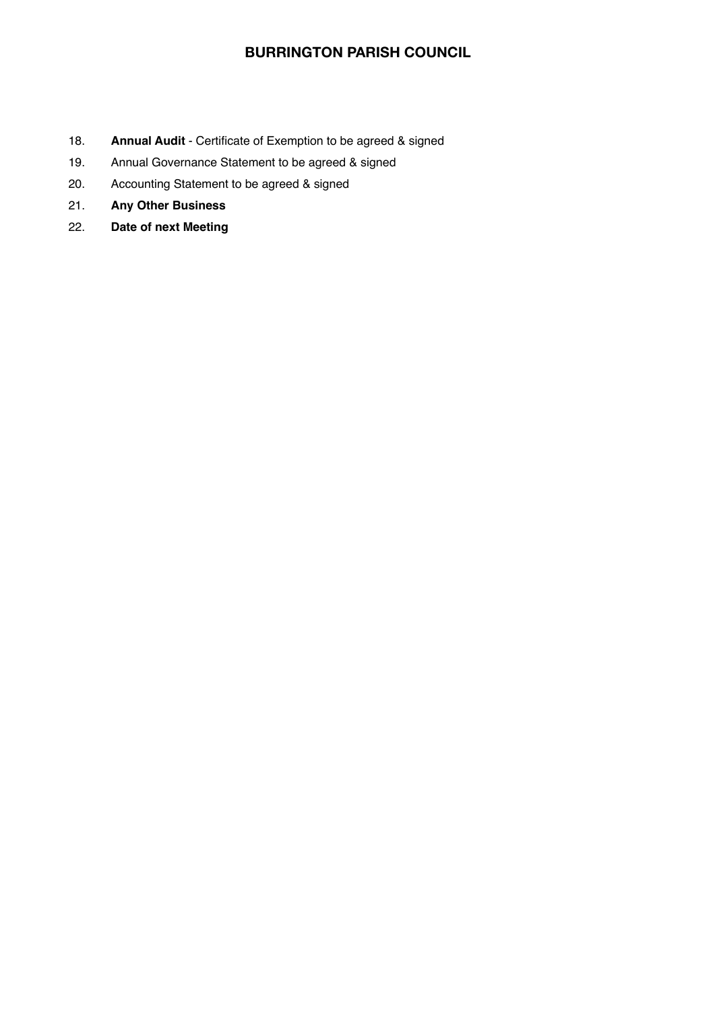## **BURRINGTON PARISH COUNCIL**

- 18. **Annual Audit** Certificate of Exemption to be agreed & signed
- 19. Annual Governance Statement to be agreed & signed
- 20. Accounting Statement to be agreed & signed
- 21. **Any Other Business**
- 22. **Date of next Meeting**